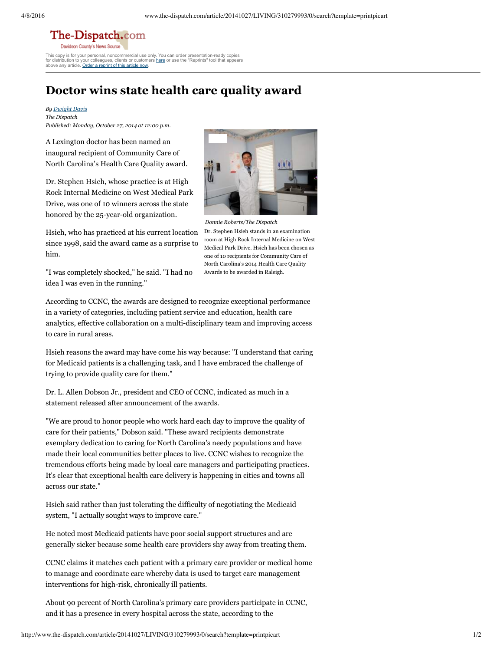## The-Dispatch.com

Davidson County's News Source This copy is for your personal, noncommercial use only. You can order presentation-ready copies clients or customers [here](http://www.magreprints.com/reprint-products-quote-request/?cf2_field_17=www.the-dispatch.com&cf2_field_18=&cf2_field_19=10%2F27%2F2014) or use the "Reprints" tool that appears

for distribution to your colleagues, clients or custome above any article. Order a [reprint](http://www.magreprints.com/reprint-products-quote-request/?cf2_field_17=www.the-dispatch.com&cf2_field_18=&cf2_field_19=10%2F27%2F2014) of this article now.

## **Doctor wins state health care quality award**

*By [Dwight](http://www.the-dispatch.com/personalia/10087) Davis The Dispatch Published: Monday, October 27, 2014 at 12:00 p.m.*

A Lexington doctor has been named an inaugural recipient of Community Care of North Carolina's Health Care Quality award.

Dr. Stephen Hsieh, whose practice is at High Rock Internal Medicine on West Medical Park Drive, was one of 10 winners across the state honored by the 25-year-old organization.

Hsieh, who has practiced at his current location since 1998, said the award came as a surprise to him.

"I was completely shocked," he said. "I had no idea I was even in the running."



*Donnie Roberts/The Dispatch* Dr. Stephen Hsieh stands in an examination room at High Rock Internal Medicine on West Medical Park Drive. Hsieh has been chosen as one of 10 recipients for Community Care of North Carolina's 2014 Health Care Quality Awards to be awarded in Raleigh.

According to CCNC, the awards are designed to recognize exceptional performance in a variety of categories, including patient service and education, health care analytics, effective collaboration on a multi-disciplinary team and improving access to care in rural areas.

Hsieh reasons the award may have come his way because: "I understand that caring for Medicaid patients is a challenging task, and I have embraced the challenge of trying to provide quality care for them."

Dr. L. Allen Dobson Jr., president and CEO of CCNC, indicated as much in a statement released after announcement of the awards.

"We are proud to honor people who work hard each day to improve the quality of care for their patients," Dobson said. "These award recipients demonstrate exemplary dedication to caring for North Carolina's needy populations and have made their local communities better places to live. CCNC wishes to recognize the tremendous efforts being made by local care managers and participating practices. It's clear that exceptional health care delivery is happening in cities and towns all across our state."

Hsieh said rather than just tolerating the difficulty of negotiating the Medicaid system, "I actually sought ways to improve care."

He noted most Medicaid patients have poor social support structures and are generally sicker because some health care providers shy away from treating them.

CCNC claims it matches each patient with a primary care provider or medical home to manage and coordinate care whereby data is used to target care management interventions for high-risk, chronically ill patients.

About 90 percent of North Carolina's primary care providers participate in CCNC, and it has a presence in every hospital across the state, according to the